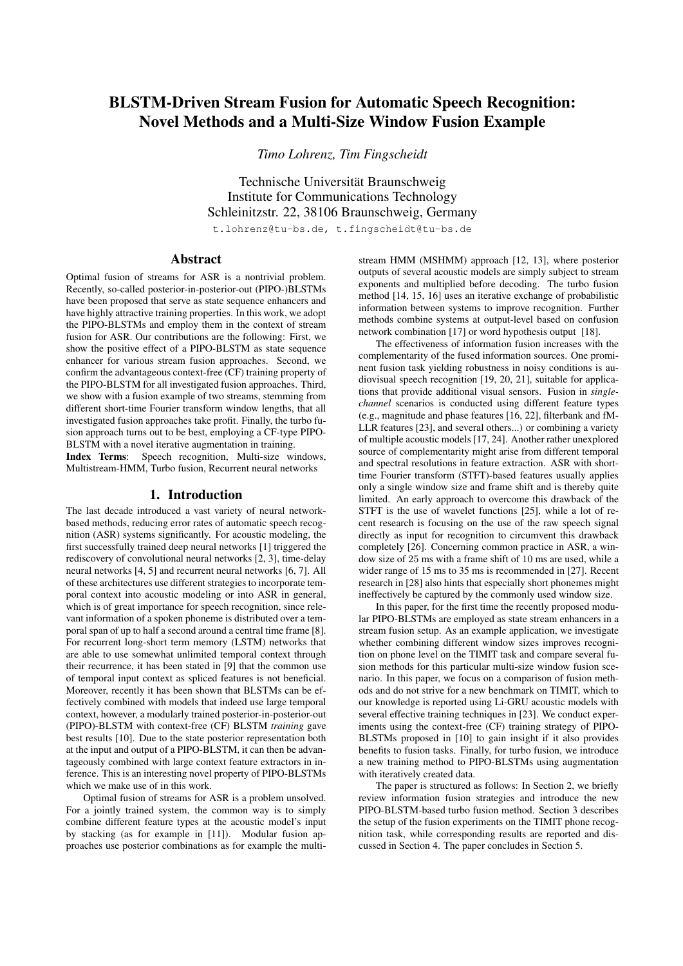# BLSTM-Driven Stream Fusion for Automatic Speech Recognition: Novel Methods and a Multi-Size Window Fusion Example

*Timo Lohrenz, Tim Fingscheidt*

Technische Universität Braunschweig Institute for Communications Technology Schleinitzstr. 22, 38106 Braunschweig, Germany

t.lohrenz@tu-bs.de, t.fingscheidt@tu-bs.de

# Abstract

Optimal fusion of streams for ASR is a nontrivial problem. Recently, so-called posterior-in-posterior-out (PIPO-)BLSTMs have been proposed that serve as state sequence enhancers and have highly attractive training properties. In this work, we adopt the PIPO-BLSTMs and employ them in the context of stream fusion for ASR. Our contributions are the following: First, we show the positive effect of a PIPO-BLSTM as state sequence enhancer for various stream fusion approaches. Second, we confirm the advantageous context-free (CF) training property of the PIPO-BLSTM for all investigated fusion approaches. Third, we show with a fusion example of two streams, stemming from different short-time Fourier transform window lengths, that all investigated fusion approaches take profit. Finally, the turbo fusion approach turns out to be best, employing a CF-type PIPO-BLSTM with a novel iterative augmentation in training.

Index Terms: Speech recognition, Multi-size windows, Multistream-HMM, Turbo fusion, Recurrent neural networks

# 1. Introduction

The last decade introduced a vast variety of neural networkbased methods, reducing error rates of automatic speech recognition (ASR) systems significantly. For acoustic modeling, the first successfully trained deep neural networks [1] triggered the rediscovery of convolutional neural networks [2, 3], time-delay neural networks [4, 5] and recurrent neural networks [6, 7]. All of these architectures use different strategies to incorporate temporal context into acoustic modeling or into ASR in general, which is of great importance for speech recognition, since relevant information of a spoken phoneme is distributed over a temporal span of up to half a second around a central time frame [8]. For recurrent long-short term memory (LSTM) networks that are able to use somewhat unlimited temporal context through their recurrence, it has been stated in [9] that the common use of temporal input context as spliced features is not beneficial. Moreover, recently it has been shown that BLSTMs can be effectively combined with models that indeed use large temporal context, however, a modularly trained posterior-in-posterior-out (PIPO)-BLSTM with context-free (CF) BLSTM *training* gave best results [10]. Due to the state posterior representation both at the input and output of a PIPO-BLSTM, it can then be advantageously combined with large context feature extractors in inference. This is an interesting novel property of PIPO-BLSTMs which we make use of in this work.

Optimal fusion of streams for ASR is a problem unsolved. For a jointly trained system, the common way is to simply combine different feature types at the acoustic model's input by stacking (as for example in [11]). Modular fusion approaches use posterior combinations as for example the multistream HMM (MSHMM) approach [12, 13], where posterior outputs of several acoustic models are simply subject to stream exponents and multiplied before decoding. The turbo fusion method [14, 15, 16] uses an iterative exchange of probabilistic information between systems to improve recognition. Further methods combine systems at output-level based on confusion network combination [17] or word hypothesis output [18].

The effectiveness of information fusion increases with the complementarity of the fused information sources. One prominent fusion task yielding robustness in noisy conditions is audiovisual speech recognition [19, 20, 21], suitable for applications that provide additional visual sensors. Fusion in *singlechannel* scenarios is conducted using different feature types (e.g., magnitude and phase features [16, 22], filterbank and fM-LLR features [23], and several others...) or combining a variety of multiple acoustic models [17, 24]. Another rather unexplored source of complementarity might arise from different temporal and spectral resolutions in feature extraction. ASR with shorttime Fourier transform (STFT)-based features usually applies only a single window size and frame shift and is thereby quite limited. An early approach to overcome this drawback of the STFT is the use of wavelet functions [25], while a lot of recent research is focusing on the use of the raw speech signal directly as input for recognition to circumvent this drawback completely [26]. Concerning common practice in ASR, a window size of 25 ms with a frame shift of 10 ms are used, while a wider range of 15 ms to 35 ms is recommended in [27]. Recent research in [28] also hints that especially short phonemes might ineffectively be captured by the commonly used window size.

In this paper, for the first time the recently proposed modular PIPO-BLSTMs are employed as state stream enhancers in a stream fusion setup. As an example application, we investigate whether combining different window sizes improves recognition on phone level on the TIMIT task and compare several fusion methods for this particular multi-size window fusion scenario. In this paper, we focus on a comparison of fusion methods and do not strive for a new benchmark on TIMIT, which to our knowledge is reported using Li-GRU acoustic models with several effective training techniques in [23]. We conduct experiments using the context-free (CF) training strategy of PIPO-BLSTMs proposed in [10] to gain insight if it also provides benefits to fusion tasks. Finally, for turbo fusion, we introduce a new training method to PIPO-BLSTMs using augmentation with iteratively created data.

The paper is structured as follows: In Section 2, we briefly review information fusion strategies and introduce the new PIPO-BLSTM-based turbo fusion method. Section 3 describes the setup of the fusion experiments on the TIMIT phone recognition task, while corresponding results are reported and discussed in Section 4. The paper concludes in Section 5.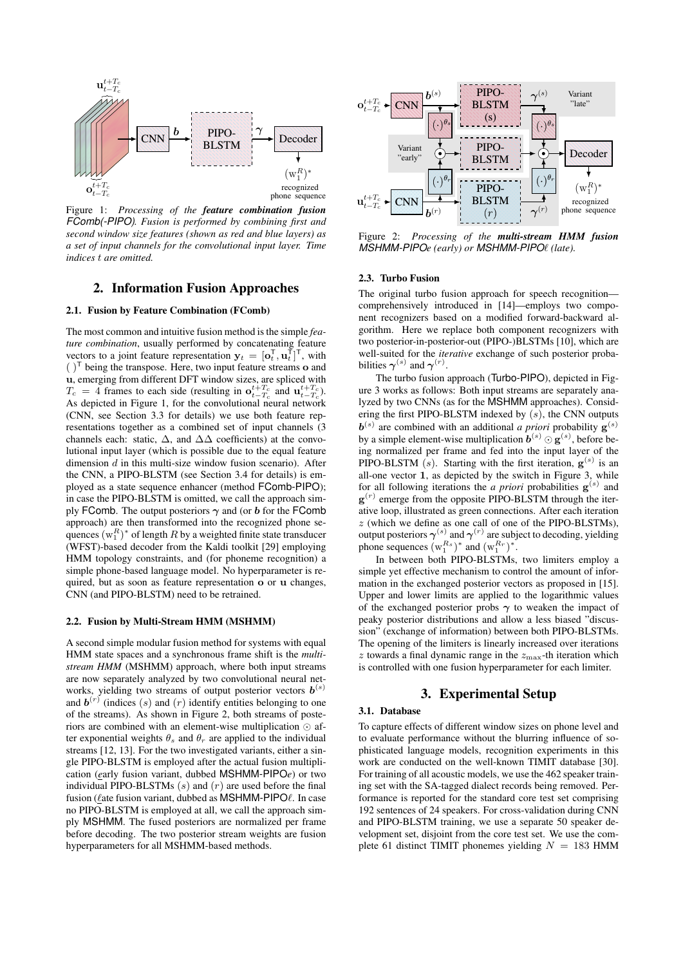

Figure 1: *Processing of the feature combination fusion FComb(-PIPO). Fusion is performed by combining first and second window size features (shown as red and blue layers) as a set of input channels for the convolutional input layer. Time indices* t *are omitted.*

# 2. Information Fusion Approaches

#### 2.1. Fusion by Feature Combination (FComb)

The most common and intuitive fusion method is the simple *feature combination*, usually performed by concatenating feature vectors to a joint feature representation  $\mathbf{y}_t = [\mathbf{o}_t^{\mathsf{T}}, \mathbf{u}_t^{\mathsf{T}}]^{\mathsf{T}}$ , with  $( )^{\mathsf{T}}$  being the transpose. Here, two input feature streams o and u, emerging from different DFT window sizes, are spliced with  $T_c = 4$  frames to each side (resulting in  $o_{t-T_c}^{t+T_c}$  and  $\mathbf{u}_{t-T_c}^{t+T_c}$ ). As depicted in Figure 1, for the convolutional neural network (CNN, see Section 3.3 for details) we use both feature representations together as a combined set of input channels (3 channels each: static,  $\Delta$ , and  $\Delta\Delta$  coefficients) at the convolutional input layer (which is possible due to the equal feature dimension  $d$  in this multi-size window fusion scenario). After the CNN, a PIPO-BLSTM (see Section 3.4 for details) is employed as a state sequence enhancer (method FComb-PIPO); in case the PIPO-BLSTM is omitted, we call the approach simply FComb. The output posteriors  $\gamma$  and (or b for the FComb approach) are then transformed into the recognized phone sequences  $(w_1^R)^*$  of length R by a weighted finite state transducer (WFST)-based decoder from the Kaldi toolkit [29] employing HMM topology constraints, and (for phoneme recognition) a simple phone-based language model. No hyperparameter is required, but as soon as feature representation o or u changes, CNN (and PIPO-BLSTM) need to be retrained.

### 2.2. Fusion by Multi-Stream HMM (MSHMM)

A second simple modular fusion method for systems with equal HMM state spaces and a synchronous frame shift is the *multistream HMM* (MSHMM) approach, where both input streams are now separately analyzed by two convolutional neural networks, yielding two streams of output posterior vectors  $\mathbf{b}^{(s)}$ and  $\mathbf{b}^{(r)}$  (indices (s) and (r) identify entities belonging to one of the streams). As shown in Figure 2, both streams of posteriors are combined with an element-wise multiplication  $\odot$  after exponential weights  $\theta_s$  and  $\theta_r$  are applied to the individual streams [12, 13]. For the two investigated variants, either a single PIPO-BLSTM is employed after the actual fusion multiplication (*e*arly fusion variant, dubbed MSHMM-PIPO*e*) or two individual PIPO-BLSTMs  $(s)$  and  $(r)$  are used before the final fusion ( $\ell$ ate fusion variant, dubbed as MSHMM-PIPO $\ell$ . In case no PIPO-BLSTM is employed at all, we call the approach simply MSHMM. The fused posteriors are normalized per frame before decoding. The two posterior stream weights are fusion hyperparameters for all MSHMM-based methods.



Figure 2: *Processing of the multi-stream HMM fusion MSHMM-PIPOe (early) or MSHMM-PIPOl (late).* 

#### 2.3. Turbo Fusion

The original turbo fusion approach for speech recognition comprehensively introduced in [14]—employs two component recognizers based on a modified forward-backward algorithm. Here we replace both component recognizers with two posterior-in-posterior-out (PIPO-)BLSTMs [10], which are well-suited for the *iterative* exchange of such posterior probabilities  $\gamma^{(s)}$  and  $\gamma^{(r)}$ .

The turbo fusion approach (Turbo-PIPO), depicted in Figure 3 works as follows: Both input streams are separately analyzed by two CNNs (as for the MSHMM approaches). Considering the first PIPO-BLSTM indexed by  $(s)$ , the CNN outputs  **are combined with an additional** *a priori* **probability**  $**g**<sup>(s)</sup>$ by a simple element-wise multiplication  $\mathbf{b}^{(s)} \odot \mathbf{g}^{(s)}$ , before being normalized per frame and fed into the input layer of the PIPO-BLSTM  $(s)$ . Starting with the first iteration,  $g^{(s)}$  is an all-one vector 1, as depicted by the switch in Figure 3, while for all following iterations the *a priori* probabilities  $g^{(s)}$  and  $\mathbf{g}^{(r)}$  emerge from the opposite PIPO-BLSTM through the iterative loop, illustrated as green connections. After each iteration z (which we define as one call of one of the PIPO-BLSTMs), output posteriors  $\gamma^{(s)}$  and  $\gamma^{(r)}$  are subject to decoding, yielding phone sequences  $(w_1^{R_s})^*$  and  $(w_1^{R_r})^*$ .

In between both PIPO-BLSTMs, two limiters employ a simple yet effective mechanism to control the amount of information in the exchanged posterior vectors as proposed in [15]. Upper and lower limits are applied to the logarithmic values of the exchanged posterior probs  $\gamma$  to weaken the impact of peaky posterior distributions and allow a less biased "discussion" (exchange of information) between both PIPO-BLSTMs. The opening of the limiters is linearly increased over iterations  $z$  towards a final dynamic range in the  $z_{\text{max}}$ -th iteration which is controlled with one fusion hyperparameter for each limiter.

## 3. Experimental Setup

## 3.1. Database

To capture effects of different window sizes on phone level and to evaluate performance without the blurring influence of sophisticated language models, recognition experiments in this work are conducted on the well-known TIMIT database [30]. For training of all acoustic models, we use the 462 speaker training set with the SA-tagged dialect records being removed. Performance is reported for the standard core test set comprising 192 sentences of 24 speakers. For cross-validation during CNN and PIPO-BLSTM training, we use a separate 50 speaker development set, disjoint from the core test set. We use the complete 61 distinct TIMIT phonemes yielding  $N = 183$  HMM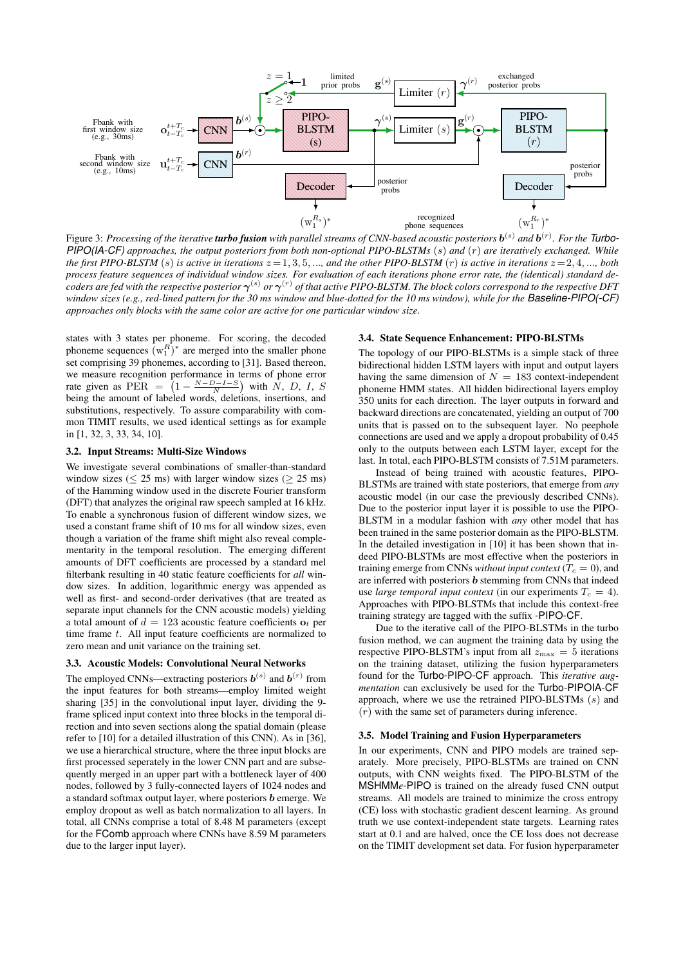

Figure 3: Processing of the iterative **turbo fusion** with parallel streams of CNN-based acoustic posteriors  $\mathbf{b}^{(s)}$  and  $\mathbf{b}^{(r)}$ . For the Turbo-*PIPO(IA-CF) approaches, the output posteriors from both non-optional PIPO-BLSTMs* (s) *and* (r) *are iteratively exchanged. While the first PIPO-BLSTM* (s) *is active in iterations*  $z = 1, 3, 5, \ldots$ *, and the other PIPO-BLSTM* (r) *is active in iterations*  $z = 2, 4, \ldots$ *, both process feature sequences of individual window sizes. For evaluation of each iterations phone error rate, the (identical) standard de* $coders$  are fed with the respective posterior  $\bm{\gamma}^{(s)}$  or  $\bm{\gamma}^{(r)}$  of that active PIPO-BLSTM. The block colors correspond to the respective DFT *window sizes (e.g., red-lined pattern for the 30 ms window and blue-dotted for the 10 ms window), while for the Baseline-PIPO(-CF) approaches only blocks with the same color are active for one particular window size.*

states with 3 states per phoneme. For scoring, the decoded phoneme sequences  $(w_1^R)^*$  are merged into the smaller phone set comprising 39 phonemes, according to [31]. Based thereon, we measure recognition performance in terms of phone error rate given as PER =  $(1 - \frac{N-D-I-S}{N})$  with N, D, I, S being the amount of labeled words, deletions, insertions, and substitutions, respectively. To assure comparability with common TIMIT results, we used identical settings as for example in [1, 32, 3, 33, 34, 10].

## 3.2. Input Streams: Multi-Size Windows

We investigate several combinations of smaller-than-standard window sizes ( $\leq$  25 ms) with larger window sizes ( $>$  25 ms) of the Hamming window used in the discrete Fourier transform (DFT) that analyzes the original raw speech sampled at 16 kHz. To enable a synchronous fusion of different window sizes, we used a constant frame shift of 10 ms for all window sizes, even though a variation of the frame shift might also reveal complementarity in the temporal resolution. The emerging different amounts of DFT coefficients are processed by a standard mel filterbank resulting in 40 static feature coefficients for *all* window sizes. In addition, logarithmic energy was appended as well as first- and second-order derivatives (that are treated as separate input channels for the CNN acoustic models) yielding a total amount of  $d = 123$  acoustic feature coefficients  $\mathbf{o}_t$  per time frame t. All input feature coefficients are normalized to zero mean and unit variance on the training set.

## 3.3. Acoustic Models: Convolutional Neural Networks

The employed CNNs—extracting posteriors  $\mathbf{b}^{(s)}$  and  $\mathbf{b}^{(r)}$  from the input features for both streams—employ limited weight sharing [35] in the convolutional input layer, dividing the 9 frame spliced input context into three blocks in the temporal direction and into seven sections along the spatial domain (please refer to [10] for a detailed illustration of this CNN). As in [36], we use a hierarchical structure, where the three input blocks are first processed seperately in the lower CNN part and are subsequently merged in an upper part with a bottleneck layer of 400 nodes, followed by 3 fully-connected layers of 1024 nodes and a standard softmax output layer, where posteriors  **emerge. We** employ dropout as well as batch normalization to all layers. In total, all CNNs comprise a total of 8.48 M parameters (except for the FComb approach where CNNs have 8.59 M parameters due to the larger input layer).

#### 3.4. State Sequence Enhancement: PIPO-BLSTMs

The topology of our PIPO-BLSTMs is a simple stack of three bidirectional hidden LSTM layers with input and output layers having the same dimension of  $N = 183$  context-independent phoneme HMM states. All hidden bidirectional layers employ 350 units for each direction. The layer outputs in forward and backward directions are concatenated, yielding an output of 700 units that is passed on to the subsequent layer. No peephole connections are used and we apply a dropout probability of 0.45 only to the outputs between each LSTM layer, except for the last. In total, each PIPO-BLSTM consists of 7.51M parameters.

Instead of being trained with acoustic features, PIPO-BLSTMs are trained with state posteriors, that emerge from *any* acoustic model (in our case the previously described CNNs). Due to the posterior input layer it is possible to use the PIPO-BLSTM in a modular fashion with *any* other model that has been trained in the same posterior domain as the PIPO-BLSTM. In the detailed investigation in [10] it has been shown that indeed PIPO-BLSTMs are most effective when the posteriors in training emerge from CNNs *without input context* ( $T_c = 0$ ), and are inferred with posteriors  $\boldsymbol{b}$  stemming from CNNs that indeed use *large temporal input context* (in our experiments  $T_c = 4$ ). Approaches with PIPO-BLSTMs that include this context-free training strategy are tagged with the suffix -PIPO-CF.

Due to the iterative call of the PIPO-BLSTMs in the turbo fusion method, we can augment the training data by using the respective PIPO-BLSTM's input from all  $z_{\text{max}} = 5$  iterations on the training dataset, utilizing the fusion hyperparameters found for the Turbo-PIPO-CF approach. This *iterative augmentation* can exclusively be used for the Turbo-PIPOIA-CF approach, where we use the retrained PIPO-BLSTMs (s) and  $(r)$  with the same set of parameters during inference.

#### 3.5. Model Training and Fusion Hyperparameters

In our experiments, CNN and PIPO models are trained separately. More precisely, PIPO-BLSTMs are trained on CNN outputs, with CNN weights fixed. The PIPO-BLSTM of the MSHMM*e*-PIPO is trained on the already fused CNN output streams. All models are trained to minimize the cross entropy (CE) loss with stochastic gradient descent learning. As ground truth we use context-independent state targets. Learning rates start at 0.1 and are halved, once the CE loss does not decrease on the TIMIT development set data. For fusion hyperparameter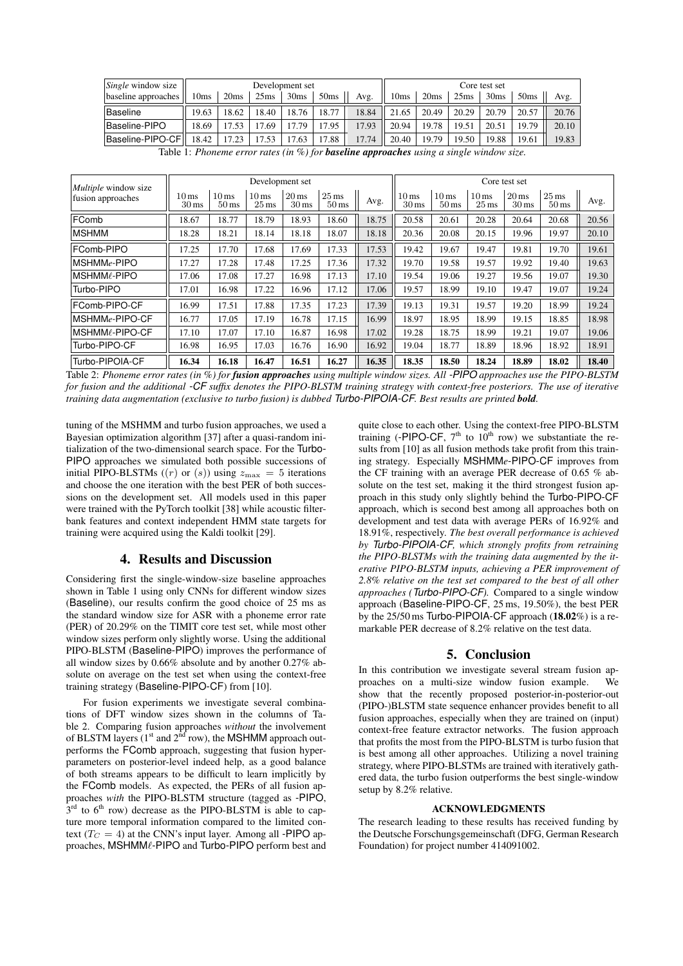| Development set  |       |                  |       |                  |       |       | Core test set |       |       |                  |       |  |  |
|------------------|-------|------------------|-------|------------------|-------|-------|---------------|-------|-------|------------------|-------|--|--|
| 10 <sub>ms</sub> | 20ms  | 25 <sub>ms</sub> | 30ms  | 50 <sub>ms</sub> | Avg.  | 10ms  | 20ms          | 25ms  | 30ms  | 50 <sub>ms</sub> | Avg.  |  |  |
| 19.63            | 18.62 | 18.40            | 18.76 | 18.77            | 18.84 | 21.65 | 20.49         | 20.29 | 20.79 | 20.57            | 20.76 |  |  |
| 18.69            | 7.53  | .69              | 17.79 | 17.95            | 17.93 | 20.94 | 19.78         | 19.51 | 20.51 | 19.79            | 20.10 |  |  |
| 18.42            | 7.23  | .53<br>17        | 17.63 | 17.88            | 17.74 | 20.40 | 19.79         | 19.50 | 19.88 | 19.61            | 19.83 |  |  |
|                  |       |                  |       |                  |       |       |               |       |       |                  |       |  |  |

Table 1: *Phoneme error rates (in %) for baseline approaches using a single window size.*

| <i>Multiple</i> window size<br>fusion approaches | Development set                          |                                          |                                        |                                          |                                          |       |                                          | Core test set                            |                                        |                                          |                                           |       |  |  |
|--------------------------------------------------|------------------------------------------|------------------------------------------|----------------------------------------|------------------------------------------|------------------------------------------|-------|------------------------------------------|------------------------------------------|----------------------------------------|------------------------------------------|-------------------------------------------|-------|--|--|
|                                                  | $10 \,\mathrm{ms}$<br>$30 \,\mathrm{ms}$ | $10 \,\mathrm{ms}$<br>$50 \,\mathrm{ms}$ | 10 <sub>ms</sub><br>$25 \,\mathrm{ms}$ | $20 \,\mathrm{ms}$<br>$30 \,\mathrm{ms}$ | $25 \,\mathrm{ms}$<br>$50 \,\mathrm{ms}$ | Avg.  | $10 \,\mathrm{ms}$<br>$30 \,\mathrm{ms}$ | $10 \,\mathrm{ms}$<br>$50 \,\mathrm{ms}$ | 10 <sub>ms</sub><br>$25 \,\mathrm{ms}$ | $20 \,\mathrm{ms}$<br>$30 \,\mathrm{ms}$ | $125 \,\mathrm{ms}$<br>$50 \,\mathrm{ms}$ | Avg.  |  |  |
| FComb                                            | 18.67                                    | 18.77                                    | 18.79                                  | 18.93                                    | 18.60                                    | 18.75 | 20.58                                    | 20.61                                    | 20.28                                  | 20.64                                    | 20.68                                     | 20.56 |  |  |
| <b>MSHMM</b>                                     | 18.28                                    | 18.21                                    | 18.14                                  | 18.18                                    | 18.07                                    | 18.18 | 20.36                                    | 20.08                                    | 20.15                                  | 19.96                                    | 19.97                                     | 20.10 |  |  |
| FComb-PIPO                                       | 17.25                                    | 17.70                                    | 17.68                                  | 17.69                                    | 17.33                                    | 17.53 | 19.42                                    | 19.67                                    | 19.47                                  | 19.81                                    | 19.70                                     | 19.61 |  |  |
| MSHMMe-PIPO                                      | 17.27                                    | 17.28                                    | 17.48                                  | 17.25                                    | 17.36                                    | 17.32 | 19.70                                    | 19.58                                    | 19.57                                  | 19.92                                    | 19.40                                     | 19.63 |  |  |
| <b>MSHMML-PIPO</b>                               | 17.06                                    | 17.08                                    | 17.27                                  | 16.98                                    | 17.13                                    | 17.10 | 19.54                                    | 19.06                                    | 19.27                                  | 19.56                                    | 19.07                                     | 19.30 |  |  |
| Turbo-PIPO                                       | 17.01                                    | 16.98                                    | 17.22                                  | 16.96                                    | 17.12                                    | 17.06 | 19.57                                    | 18.99                                    | 19.10                                  | 19.47                                    | 19.07                                     | 19.24 |  |  |
| FComb-PIPO-CF                                    | 16.99                                    | 17.51                                    | 17.88                                  | 17.35                                    | 17.23                                    | 17.39 | 19.13                                    | 19.31                                    | 19.57                                  | 19.20                                    | 18.99                                     | 19.24 |  |  |
| $ {\sf MSHMM}$ e-PIPO-CF                         | 16.77                                    | 17.05                                    | 17.19                                  | 16.78                                    | 17.15                                    | 16.99 | 18.97                                    | 18.95                                    | 18.99                                  | 19.15                                    | 18.85                                     | 18.98 |  |  |
| IMSHMMℓ-PIPO-CF                                  | 17.10                                    | 17.07                                    | 17.10                                  | 16.87                                    | 16.98                                    | 17.02 | 19.28                                    | 18.75                                    | 18.99                                  | 19.21                                    | 19.07                                     | 19.06 |  |  |
| Turbo-PIPO-CF                                    | 16.98                                    | 16.95                                    | 17.03                                  | 16.76                                    | 16.90                                    | 16.92 | 19.04                                    | 18.77                                    | 18.89                                  | 18.96                                    | 18.92                                     | 18.91 |  |  |
| Turbo-PIPOIA-CF                                  | 16.34                                    | 16.18                                    | 16.47                                  | 16.51                                    | 16.27                                    | 16.35 | 18.35                                    | 18.50                                    | 18.24                                  | 18.89                                    | 18.02                                     | 18.40 |  |  |

Table 2: *Phoneme error rates (in %) for fusion approaches using multiple window sizes. All -PIPO approaches use the PIPO-BLSTM for fusion and the additional -CF suffix denotes the PIPO-BLSTM training strategy with context-free posteriors. The use of iterative training data augmentation (exclusive to turbo fusion) is dubbed Turbo-PIPOIA-CF. Best results are printed bold.*

tuning of the MSHMM and turbo fusion approaches, we used a Bayesian optimization algorithm [37] after a quasi-random initialization of the two-dimensional search space. For the Turbo-PIPO approaches we simulated both possible successions of initial PIPO-BLSTMs  $((r)$  or  $(s)$ ) using  $z_{\text{max}} = 5$  iterations and choose the one iteration with the best PER of both successions on the development set. All models used in this paper were trained with the PyTorch toolkit [38] while acoustic filterbank features and context independent HMM state targets for training were acquired using the Kaldi toolkit [29].

# 4. Results and Discussion

Considering first the single-window-size baseline approaches shown in Table 1 using only CNNs for different window sizes (Baseline), our results confirm the good choice of 25 ms as the standard window size for ASR with a phoneme error rate (PER) of 20.29% on the TIMIT core test set, while most other window sizes perform only slightly worse. Using the additional PIPO-BLSTM (Baseline-PIPO) improves the performance of all window sizes by 0.66% absolute and by another 0.27% absolute on average on the test set when using the context-free training strategy (Baseline-PIPO-CF) from [10].

For fusion experiments we investigate several combinations of DFT window sizes shown in the columns of Table 2. Comparing fusion approaches *without* the involvement of BLSTM layers  $(1<sup>st</sup>$  and  $2<sup>nd</sup>$  row), the MSHMM approach outperforms the FComb approach, suggesting that fusion hyperparameters on posterior-level indeed help, as a good balance of both streams appears to be difficult to learn implicitly by the FComb models. As expected, the PERs of all fusion approaches *with* the PIPO-BLSTM structure (tagged as -PIPO,  $3<sup>rd</sup>$  to 6<sup>th</sup> row) decrease as the PIPO-BLSTM is able to capture more temporal information compared to the limited context  $(T_C = 4)$  at the CNN's input layer. Among all -PIPO approaches, MSHMM $\ell$ -PIPO and Turbo-PIPO perform best and

quite close to each other. Using the context-free PIPO-BLSTM training  $(-PIPO-CF, 7<sup>th</sup>$  to  $10<sup>th</sup>$  row) we substantiate the results from [10] as all fusion methods take profit from this training strategy. Especially MSHMM*e*-PIPO-CF improves from the CF training with an average PER decrease of 0.65 % absolute on the test set, making it the third strongest fusion approach in this study only slightly behind the Turbo-PIPO-CF approach, which is second best among all approaches both on development and test data with average PERs of 16.92% and 18.91%, respectively. *The best overall performance is achieved by Turbo-PIPOIA-CF, which strongly profits from retraining the PIPO-BLSTMs with the training data augmented by the iterative PIPO-BLSTM inputs, achieving a PER improvement of 2.8% relative on the test set compared to the best of all other approaches (Turbo-PIPO-CF).* Compared to a single window approach (Baseline-PIPO-CF, 25 ms, 19.50%), the best PER by the 25/50 ms Turbo-PIPOIA-CF approach (18.02%) is a remarkable PER decrease of 8.2% relative on the test data.

# 5. Conclusion

In this contribution we investigate several stream fusion approaches on a multi-size window fusion example. We show that the recently proposed posterior-in-posterior-out (PIPO-)BLSTM state sequence enhancer provides benefit to all fusion approaches, especially when they are trained on (input) context-free feature extractor networks. The fusion approach that profits the most from the PIPO-BLSTM is turbo fusion that is best among all other approaches. Utilizing a novel training strategy, where PIPO-BLSTMs are trained with iteratively gathered data, the turbo fusion outperforms the best single-window setup by 8.2% relative.

## ACKNOWLEDGMENTS

The research leading to these results has received funding by the Deutsche Forschungsgemeinschaft (DFG, German Research Foundation) for project number 414091002.